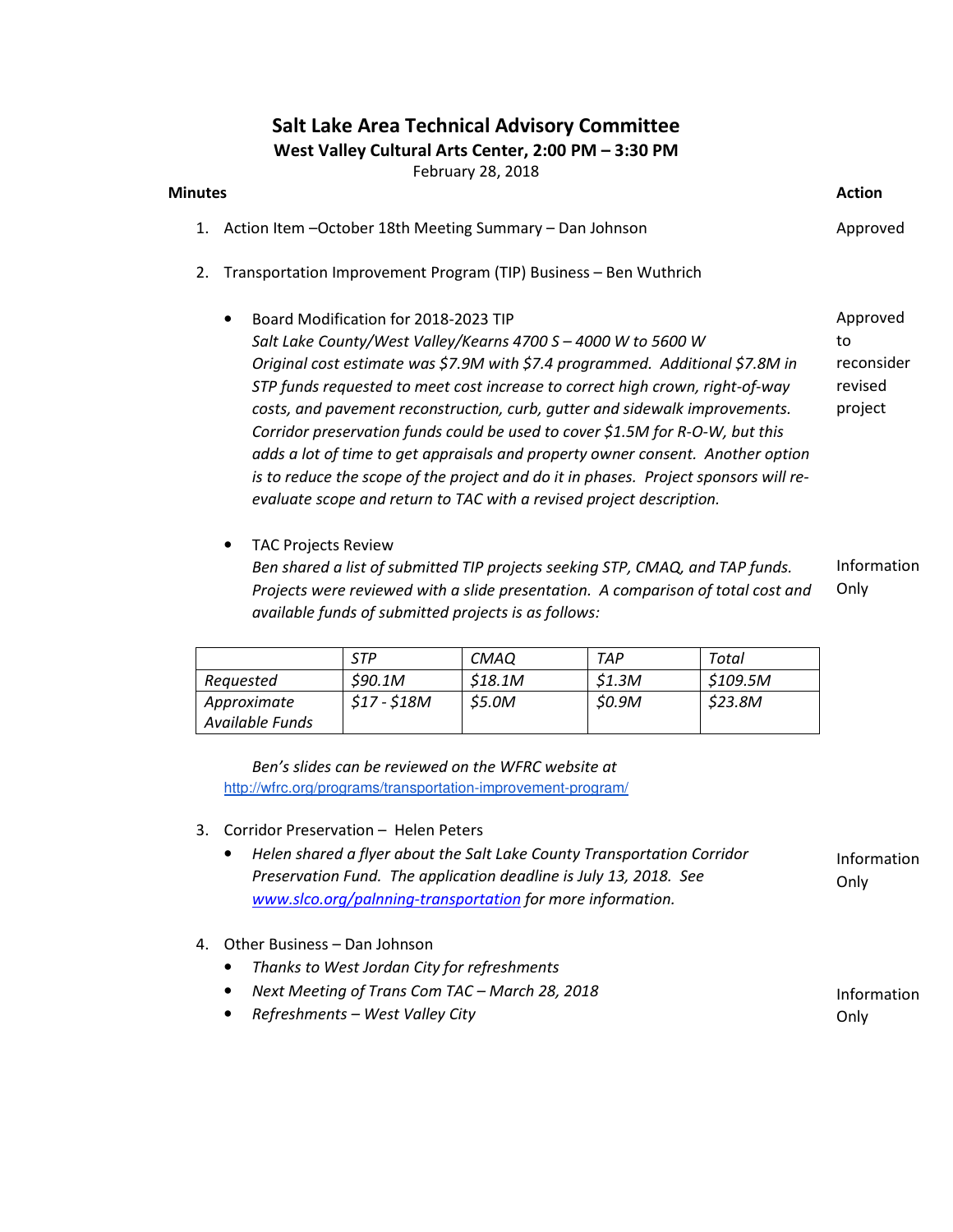### Salt Lake Area Technical Advisory Committee

West Valley Cultural Arts Center, 2:00 PM – 3:30 PM

February 28, 2018

#### Minutes **Action**

- 1. Action Item –October 18th Meeting Summary Dan Johnson Approved
- 2. Transportation Improvement Program (TIP) Business Ben Wuthrich
	- Board Modification for 2018-2023 TIP Salt Lake County/West Valley/Kearns 4700 S – 4000 W to 5600 W Original cost estimate was \$7.9M with \$7.4 programmed. Additional \$7.8M in STP funds requested to meet cost increase to correct high crown, right-of-way costs, and pavement reconstruction, curb, gutter and sidewalk improvements. Corridor preservation funds could be used to cover \$1.5M for R-O-W, but this adds a lot of time to get appraisals and property owner consent. Another option is to reduce the scope of the project and do it in phases. Project sponsors will reevaluate scope and return to TAC with a revised project description. Approved to reconsider revised project
	- TAC Projects Review Ben shared a list of submitted TIP projects seeking STP, CMAQ, and TAP funds. Projects were reviewed with a slide presentation. A comparison of total cost and available funds of submitted projects is as follows: Information Only

|                 | STP           | <i>CMAO</i>  | TAP          | Total   |
|-----------------|---------------|--------------|--------------|---------|
| Requested       | S90.1M        | \$18.1M      | S1.3M        | S109.5M |
| Approximate     | $$17 - $18M$$ | <i>S5.0M</i> | <i>S0.9M</i> | \$23.8M |
| Available Funds |               |              |              |         |

Ben's slides can be reviewed on the WFRC website at http://wfrc.org/programs/transportation-improvement-program/

- 3. Corridor Preservation Helen Peters
	- Helen shared a flyer about the Salt Lake County Transportation Corridor Preservation Fund. The application deadline is July 13, 2018. See www.slco.org/palnning-transportation for more information. Information **Only**
- 4. Other Business Dan Johnson
	- Thanks to West Jordan City for refreshments
	- Next Meeting of Trans Com TAC March 28, 2018
	- Refreshments West Valley City

Information Only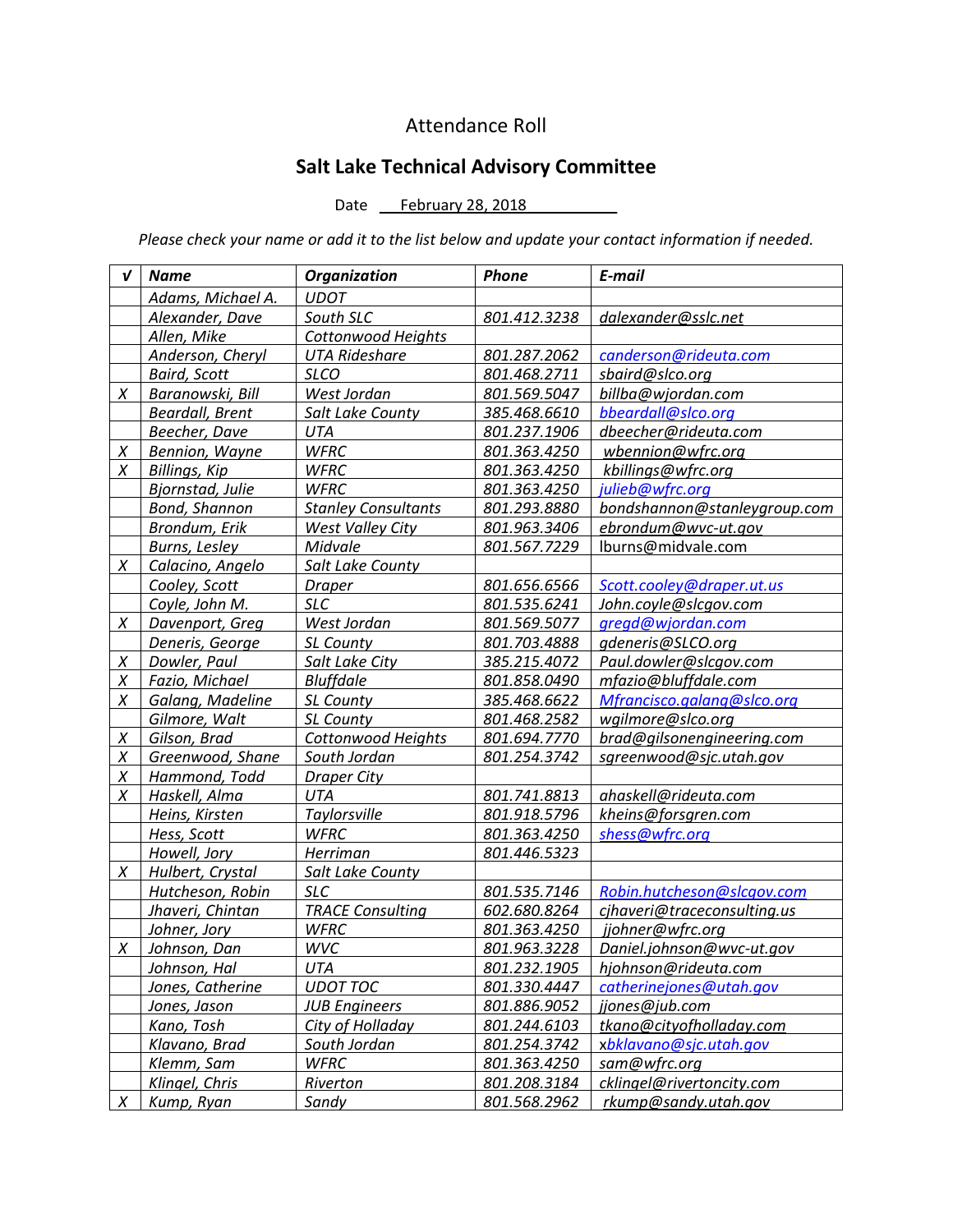## Attendance Roll

# Salt Lake Technical Advisory Committee

#### Date February 28, 2018

Please check your name or add it to the list below and update your contact information if needed.

| V      | <b>Name</b>            | <b>Organization</b>        | Phone        | E-mail                       |
|--------|------------------------|----------------------------|--------------|------------------------------|
|        | Adams, Michael A.      | <b>UDOT</b>                |              |                              |
|        | Alexander, Dave        | South SLC                  | 801.412.3238 | dalexander@sslc.net          |
|        | Allen, Mike            | <b>Cottonwood Heights</b>  |              |                              |
|        | Anderson, Cheryl       | <b>UTA Rideshare</b>       | 801.287.2062 | canderson@rideuta.com        |
|        | <b>Baird, Scott</b>    | <b>SLCO</b>                | 801.468.2711 | sbaird@slco.org              |
| Χ      | Baranowski, Bill       | West Jordan                | 801.569.5047 | billba@wjordan.com           |
|        | <b>Beardall, Brent</b> | Salt Lake County           | 385.468.6610 | bbeardall@slco.org           |
|        | Beecher, Dave          | <b>UTA</b>                 | 801.237.1906 | dbeecher@rideuta.com         |
| $\chi$ | Bennion, Wayne         | <b>WFRC</b>                | 801.363.4250 | wbennion@wfrc.org            |
| X      | <b>Billings, Kip</b>   | <b>WFRC</b>                | 801.363.4250 | kbillings@wfrc.org           |
|        | Bjornstad, Julie       | <b>WFRC</b>                | 801.363.4250 | julieb@wfrc.org              |
|        | Bond, Shannon          | <b>Stanley Consultants</b> | 801.293.8880 | bondshannon@stanleygroup.com |
|        | Brondum, Erik          | <b>West Valley City</b>    | 801.963.3406 | ebrondum@wvc-ut.gov          |
|        | <b>Burns, Lesley</b>   | Midvale                    | 801.567.7229 | lburns@midvale.com           |
| X      | Calacino, Angelo       | Salt Lake County           |              |                              |
|        | Cooley, Scott          | <b>Draper</b>              | 801.656.6566 | Scott.cooley@draper.ut.us    |
|        | Coyle, John M.         | <b>SLC</b>                 | 801.535.6241 | John.coyle@slcgov.com        |
| X      | Davenport, Greg        | West Jordan                | 801.569.5077 | gregd@wjordan.com            |
|        | Deneris, George        | SL County                  | 801.703.4888 | gdeneris@SLCO.org            |
| $\chi$ | Dowler, Paul           | Salt Lake City             | 385.215.4072 | Paul.dowler@slcgov.com       |
| X      | Fazio, Michael         | <b>Bluffdale</b>           | 801.858.0490 | mfazio@bluffdale.com         |
| $\chi$ | Galang, Madeline       | SL County                  | 385.468.6622 | Mfrancisco.galang@slco.org   |
|        | Gilmore, Walt          | SL County                  | 801.468.2582 | wgilmore@slco.org            |
| $\chi$ | Gilson, Brad           | Cottonwood Heights         | 801.694.7770 | brad@gilsonengineering.com   |
| $\chi$ | Greenwood, Shane       | South Jordan               | 801.254.3742 | sgreenwood@sjc.utah.gov      |
| $\chi$ | Hammond, Todd          | <b>Draper City</b>         |              |                              |
| X      | Haskell, Alma          | UTA                        | 801.741.8813 | ahaskell@rideuta.com         |
|        | Heins, Kirsten         | Taylorsville               | 801.918.5796 | kheins@forsgren.com          |
|        | Hess, Scott            | <b>WFRC</b>                | 801.363.4250 | shess@wfrc.org               |
|        | Howell, Jory           | Herriman                   | 801.446.5323 |                              |
| X      | Hulbert, Crystal       | Salt Lake County           |              |                              |
|        | Hutcheson, Robin       | <b>SLC</b>                 | 801.535.7146 | Robin.hutcheson@slcgov.com   |
|        | Jhaveri, Chintan       | <b>TRACE Consulting</b>    | 602.680.8264 | cjhaveri@traceconsulting.us  |
|        | Johner, Jory           | <b>WFRC</b>                | 801.363.4250 | jjohner@wfrc.org             |
| X      | Johnson, Dan           | <b>WVC</b>                 | 801.963.3228 | Daniel.johnson@wvc-ut.gov    |
|        | Johnson, Hal           | UTA                        | 801.232.1905 | hjohnson@rideuta.com         |
|        | Jones, Catherine       | <b>UDOT TOC</b>            | 801.330.4447 | catherinejones@utah.gov      |
|        | Jones, Jason           | <b>JUB Engineers</b>       | 801.886.9052 | jjones@jub.com               |
|        | Kano, Tosh             | City of Holladay           | 801.244.6103 | tkano@cityofholladay.com     |
|        | Klavano, Brad          | South Jordan               | 801.254.3742 | xbklavano@sjc.utah.gov       |
|        | Klemm, Sam             | <b>WFRC</b>                | 801.363.4250 | sam@wfrc.org                 |
|        | Klingel, Chris         | Riverton                   | 801.208.3184 | cklingel@rivertoncity.com    |
| X      | Kump, Ryan             | Sandy                      | 801.568.2962 | rkump@sandy.utah.gov         |